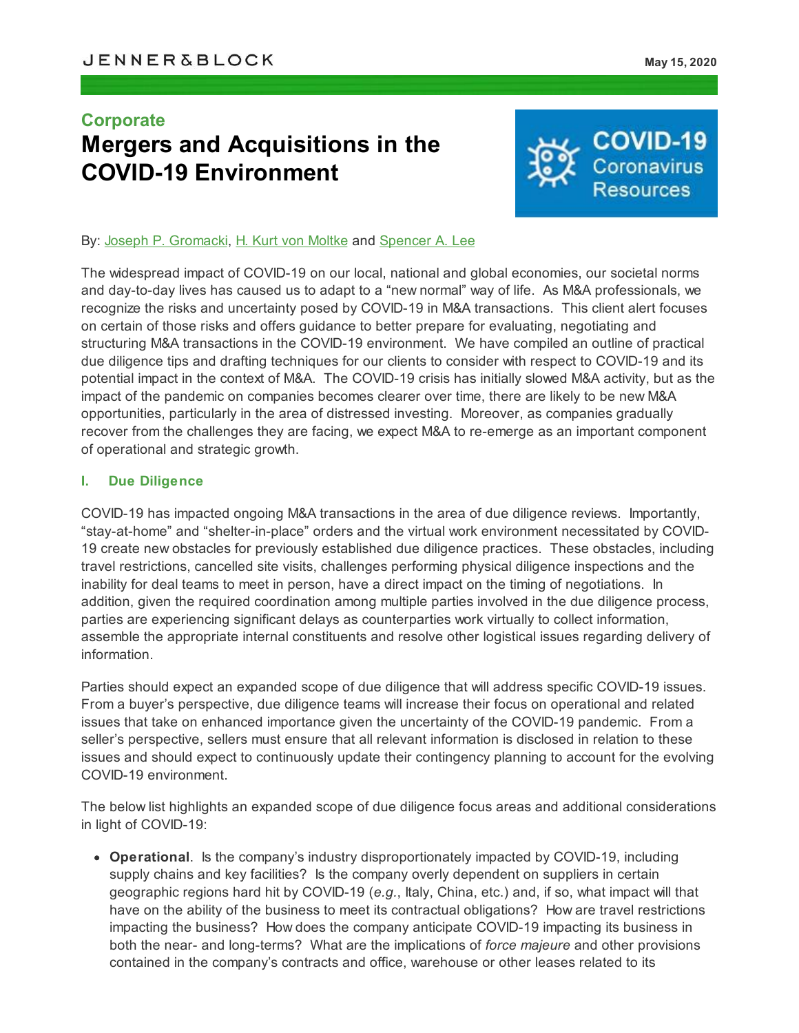# **Corporate Mergers and Acquisitions in the COVID-19 Environment**



### By: Joseph P. [Gromacki,](https://jenner.com/people/JosephGromacki) H. Kurt von [Moltke](https://jenner.com/people/HKurtvonMoltke) and [Spencer](https://jenner.com/people/SpencerLee) A. Lee

The widespread impact of COVID-19 on our local, national and global economies, our societal norms and day-to-day lives has caused us to adapt to a "new normal" way of life. As M&A professionals, we recognize the risks and uncertainty posed by COVID-19 in M&A transactions. This client alert focuses on certain of those risks and offers guidance to better prepare for evaluating, negotiating and structuring M&A transactions in the COVID-19 environment. We have compiled an outline of practical due diligence tips and drafting techniques for our clients to consider with respect to COVID-19 and its potential impact in the context of M&A. The COVID-19 crisis has initially slowed M&A activity, but as the impact of the pandemic on companies becomes clearer over time, there are likely to be new M&A opportunities, particularly in the area of distressed investing. Moreover, as companies gradually recover from the challenges they are facing, we expect M&A to re-emerge as an important component of operational and strategic growth.

#### **I. Due Diligence**

COVID-19 has impacted ongoing M&A transactions in the area of due diligence reviews. Importantly, "stay-at-home" and "shelter-in-place" orders and the virtual work environment necessitated by COVID-19 create new obstacles for previously established due diligence practices. These obstacles, including travel restrictions, cancelled site visits, challenges performing physical diligence inspections and the inability for deal teams to meet in person, have a direct impact on the timing of negotiations. In addition, given the required coordination among multiple parties involved in the due diligence process, parties are experiencing significant delays as counterparties work virtually to collect information, assemble the appropriate internal constituents and resolve other logistical issues regarding delivery of information.

Parties should expect an expanded scope of due diligence that will address specific COVID-19 issues. From a buyer's perspective, due diligence teams will increase their focus on operational and related issues that take on enhanced importance given the uncertainty of the COVID-19 pandemic. From a seller's perspective, sellers must ensure that all relevant information is disclosed in relation to these issues and should expect to continuously update their contingency planning to account for the evolving COVID-19 environment.

The below list highlights an expanded scope of due diligence focus areas and additional considerations in light of COVID-19:

**Operational**. Is the company's industry disproportionately impacted by COVID-19, including supply chains and key facilities? Is the company overly dependent on suppliers in certain geographic regions hard hit by COVID-19 (*e.g.*, Italy, China, etc.) and, if so, what impact will that have on the ability of the business to meet its contractual obligations? How are travel restrictions impacting the business? How does the company anticipate COVID-19 impacting its business in both the near- and long-terms? What are the implications of *force majeure* and other provisions contained in the company's contracts and office, warehouse or other leases related to its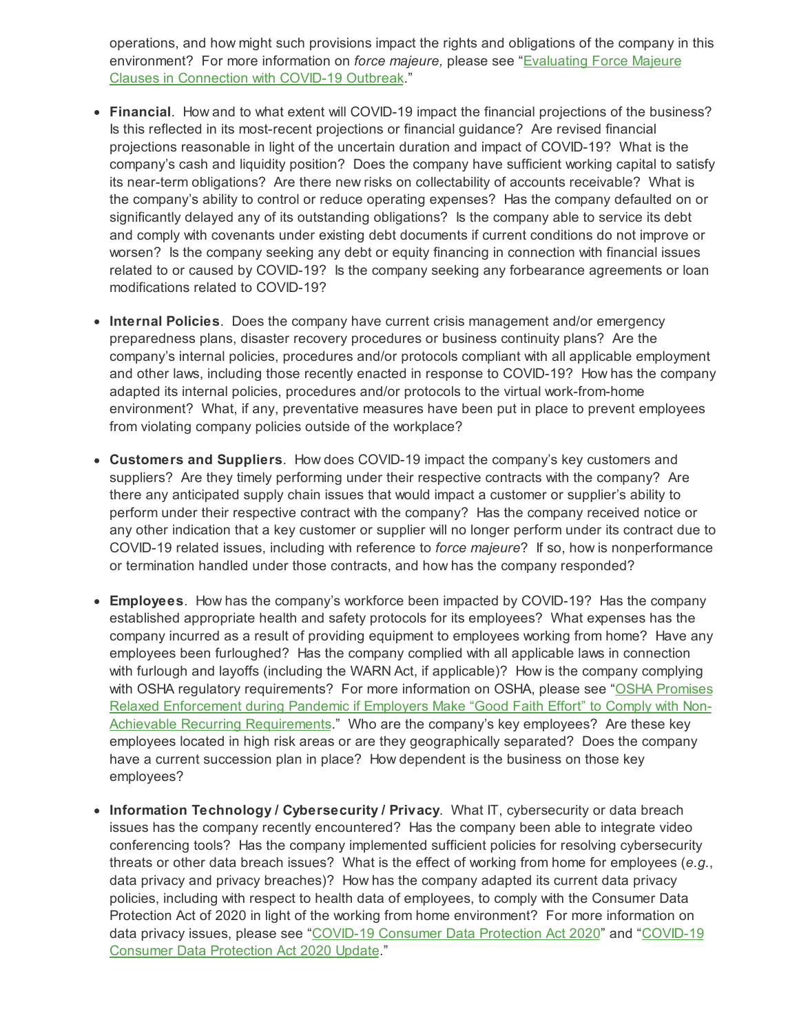operations, and how might such provisions impact the rights and obligations of the company in this [environment?](https://jenner.com/system/assets/publications/19648/original/Client Alert Evaluating Force Majeure Clauses in Connection with the COVID-19 Outbreak - ATTORNEY ADVERTISING.pdf?1584135941) For more information on *force majeure,* please see "Evaluating Force Majeure Clauses in Connection with COVID-19 Outbreak."

- **Financial**. How and to what extent will COVID-19 impact the financial projections of the business? Is this reflected in its most-recent projections or financial guidance? Are revised financial projections reasonable in light of the uncertain duration and impact of COVID-19? What is the company's cash and liquidity position? Does the company have sufficient working capital to satisfy its near-term obligations? Are there new risks on collectability of accounts receivable? What is the company's ability to control or reduce operating expenses? Has the company defaulted on or significantly delayed any of its outstanding obligations? Is the company able to service its debt and comply with covenants under existing debt documents if current conditions do not improve or worsen? Is the company seeking any debt or equity financing in connection with financial issues related to or caused by COVID-19? Is the company seeking any forbearance agreements or loan modifications related to COVID-19?
- **Internal Policies**. Does the company have current crisis management and/or emergency preparedness plans, disaster recovery procedures or business continuity plans? Are the company's internal policies, procedures and/or protocols compliant with all applicable employment and other laws, including those recently enacted in response to COVID-19? How has the company adapted its internal policies, procedures and/or protocols to the virtual work-from-home environment? What, if any, preventative measures have been put in place to prevent employees from violating company policies outside of the workplace?
- **Customers and Suppliers**. How does COVID-19 impact the company's key customers and suppliers? Are they timely performing under their respective contracts with the company? Are there any anticipated supply chain issues that would impact a customer or supplier's ability to perform under their respective contract with the company? Has the company received notice or any other indication that a key customer or supplier will no longer perform under its contract due to COVID-19 related issues, including with reference to *force majeure*? If so, how is nonperformance or termination handled under those contracts, and how has the company responded?
- **Employees**. How has the company's workforce been impacted by COVID-19? Has the company established appropriate health and safety protocols for its employees? What expenses has the company incurred as a result of providing equipment to employees working from home? Have any employees been furloughed? Has the company complied with all applicable laws in connection with furlough and layoffs (including the WARN Act, if applicable)? How is the company complying with OSHA regulatory requirements? For more information on OSHA, please see "OSHA Promises Relaxed Enforcement during Pandemic if Employers Make "Good Faith Effort" to Comply with Non-Achievable Recurring [Requirements."](https://environblog.jenner.com/corporate_environmental_l/2020/04/osha-promises-relaxed-enforcement-during-pandemic-if-employers-make-good-faith-effort-to-comply-with-non-achievable-rec.html) Who are the company's key employees? Are these key employees located in high risk areas or are they geographically separated? Does the company have a current succession plan in place? How dependent is the business on those key employees?
- **Information Technology / Cybersecurity / Privacy**. What IT, cybersecurity or data breach issues has the company recently encountered? Has the company been able to integrate video conferencing tools? Has the company implemented sufficient policies for resolving cybersecurity threats or other data breach issues? What is the effect of working from home for employees (*e.g.*, data privacy and privacy breaches)? How has the company adapted its current data privacy policies, including with respect to health data of employees, to comply with the Consumer Data Protection Act of 2020 in light of the working from home environment? For more information on data privacy issues, please see ["COVID-19](https://jenner.com/system/assets/publications/19922/original/COVID-19 Consumer Data Protection Act 2020 Update.pdf?1589230535) [Consumer](https://jenner.com/system/assets/publications/19893/original/COVID-19 Consumer Data Protection Act 2020 - May 4 2020.pdf?1588639802) Data Protection Act 2020" and "COVID-19 Consumer Data Protection Act 2020 Update[."](https://jenner.com/system/assets/publications/19922/original/COVID-19 Consumer Data Protection Act 2020 Update.pdf?1589230535)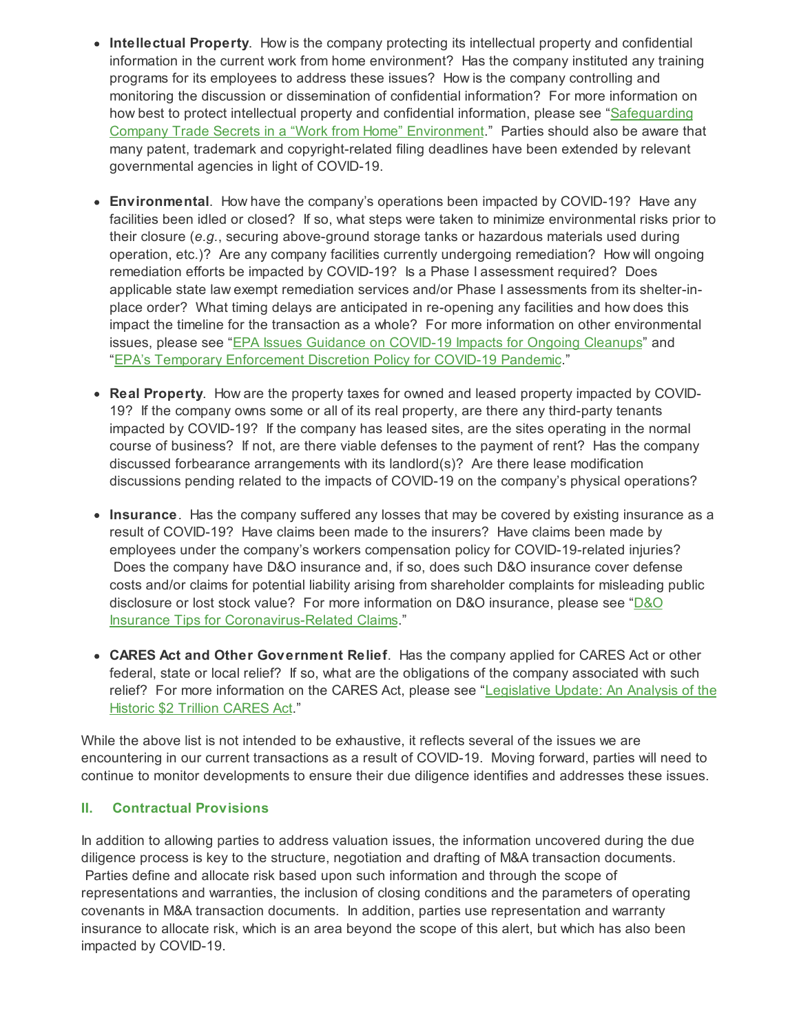- **Intellectual Property**. How is the company protecting its intellectual property and confidential information in the current work from home environment? Has the company instituted any training programs for its employees to address these issues? How is the company controlling and monitoring the discussion or dissemination of confidential information? For more information on how best to protect intellectual property and confidential information, please see ["Safeguarding](https://jenner.com/system/assets/publications/19825/original/Safeguarding Company Trade Secrets in a ?Work from Home? Environment.pdf?1586967248) Company Trade Secrets in a "Work from Home" [Environment."](https://jenner.com/system/assets/publications/19825/original/Safeguarding Company Trade Secrets in a ?Work from Home? Environment.pdf?1586967248) Parties should also be aware that many patent, trademark and copyright-related filing deadlines have been extended by relevant governmental agencies in light of COVID-19.
- **Environmental**. How have the company's operations been impacted by COVID-19? Have any facilities been idled or closed? If so, what steps were taken to minimize environmental risks prior to their closure (*e.g.*, securing above-ground storage tanks or hazardous materials used during operation, etc.)? Are any company facilities currently undergoing remediation? How will ongoing remediation efforts be impacted by COVID-19? Is a Phase I assessment required? Does applicable state law exempt remediation services and/or Phase I assessments from its shelter-inplace order? What timing delays are anticipated in re-opening any facilities and how does this impact the timeline for the transaction as a whole? For more information on other environmental issues, please see "EPA Issues Guidance on [COVID-19](https://environblog.jenner.com/corporate_environmental_l/2020/04/epas-issues-guidance-on-covid-19-impacts-for-ongoing-cleanups-1.html) Impacts for Ongoing Cleanups" and "EPA's Temporary [Enforcement](https://environblog.jenner.com/corporate_environmental_l/2020/03/epas-temporary-enforcement-discretion-policy-for-covid-19-pandemic.html) Discretion Policy for COVID-19 Pandemic."
- **Real Property**. How are the property taxes for owned and leased property impacted by COVID-19? If the company owns some or all of its real property, are there any third-party tenants impacted by COVID-19? If the company has leased sites, are the sites operating in the normal course of business? If not, are there viable defenses to the payment of rent? Has the company discussed forbearance arrangements with its landlord(s)? Are there lease modification discussions pending related to the impacts of COVID-19 on the company's physical operations?
- **Insurance**. Has the company suffered any losses that may be covered by existing insurance as a result of COVID-19? Have claims been made to the insurers? Have claims been made by employees under the company's workers compensation policy for COVID-19-related injuries? Does the company have D&O insurance and, if so, does such D&O insurance cover defense costs and/or claims for potential liability arising from shareholder complaints for misleading public disclosure or lost stock value? For more information on D&O insurance, please see "D&O Insurance Tips for [Coronavirus-Related](https://jenner.com/system/assets/publications/19780/original/larson doyle Law360 April 6 2020.pdf?1586368459) Claim[s."](https://jenner.com/system/assets/publications/19780/original/larson doyle Law360 April 6 2020.pdf?1586368459)
- **CARES Act and Other Government Relief**. Has the company applied for CARES Act or other federal, state or local relief? If so, what are the obligations of the company associated with such relief? For more information on the CARES Act, please see ["Legislative](https://jenner.com/system/assets/publications/19739/original/Legislative Update - An Analysis of the Historic Cares Act - March 2020.pdf?1585660288) Update: An Analysis of the Historic \$2 Trillion CARES Ac[t."](https://jenner.com/system/assets/publications/19739/original/Legislative Update - An Analysis of the Historic Cares Act - March 2020.pdf?1585660288)

While the above list is not intended to be exhaustive, it reflects several of the issues we are encountering in our current transactions as a result of COVID-19. Moving forward, parties will need to continue to monitor developments to ensure their due diligence identifies and addresses these issues.

### **II. Contractual Provisions**

In addition to allowing parties to address valuation issues, the information uncovered during the due diligence process is key to the structure, negotiation and drafting of M&A transaction documents. Parties define and allocate risk based upon such information and through the scope of representations and warranties, the inclusion of closing conditions and the parameters of operating covenants in M&A transaction documents. In addition, parties use representation and warranty insurance to allocate risk, which is an area beyond the scope of this alert, but which has also been impacted by COVID-19.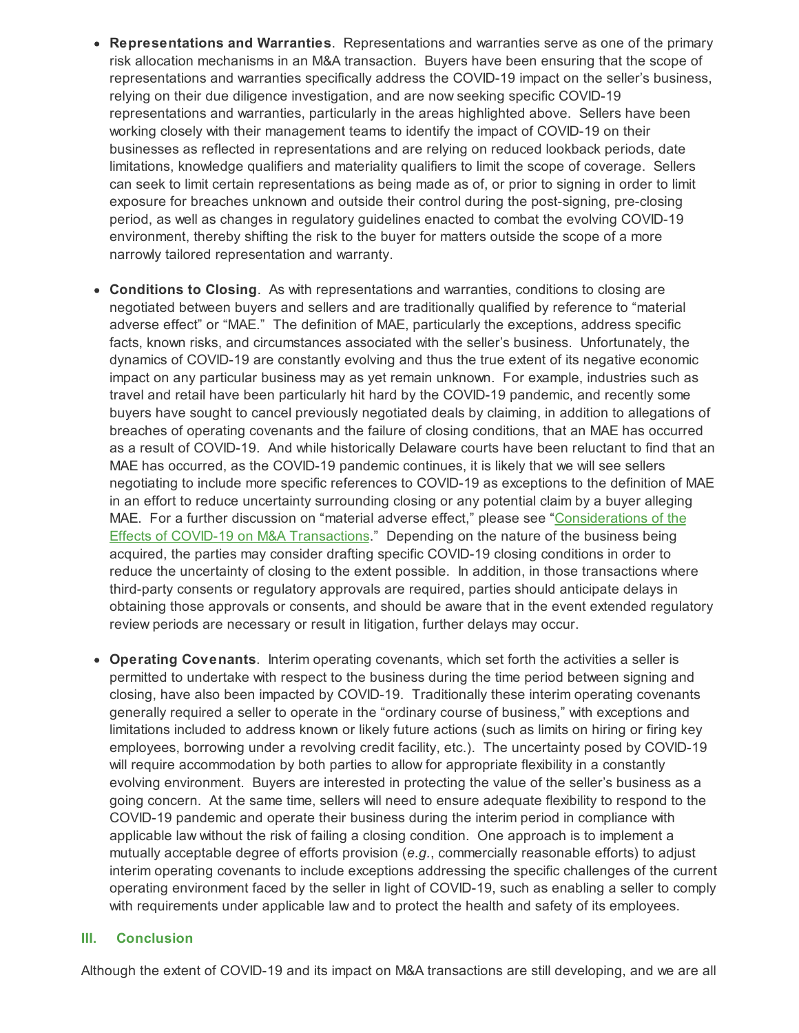- **Representations and Warranties**. Representations and warranties serve as one of the primary risk allocation mechanisms in an M&A transaction. Buyers have been ensuring that the scope of representations and warranties specifically address the COVID-19 impact on the seller's business, relying on their due diligence investigation, and are now seeking specific COVID-19 representations and warranties, particularly in the areas highlighted above. Sellers have been working closely with their management teams to identify the impact of COVID-19 on their businesses as reflected in representations and are relying on reduced lookback periods, date limitations, knowledge qualifiers and materiality qualifiers to limit the scope of coverage. Sellers can seek to limit certain representations as being made as of, or prior to signing in order to limit exposure for breaches unknown and outside their control during the post-signing, pre-closing period, as well as changes in regulatory guidelines enacted to combat the evolving COVID-19 environment, thereby shifting the risk to the buyer for matters outside the scope of a more narrowly tailored representation and warranty.
- **Conditions to Closing**. As with representations and warranties, conditions to closing are negotiated between buyers and sellers and are traditionally qualified by reference to "material adverse effect" or "MAE." The definition of MAE, particularly the exceptions, address specific facts, known risks, and circumstances associated with the seller's business. Unfortunately, the dynamics of COVID-19 are constantly evolving and thus the true extent of its negative economic impact on any particular business may as yet remain unknown. For example, industries such as travel and retail have been particularly hit hard by the COVID-19 pandemic, and recently some buyers have sought to cancel previously negotiated deals by claiming, in addition to allegations of breaches of operating covenants and the failure of closing conditions, that an MAE has occurred as a result of COVID-19. And while historically Delaware courts have been reluctant to find that an MAE has occurred, as the COVID-19 pandemic continues, it is likely that we will see sellers negotiating to include more specific references to COVID-19 as exceptions to the definition of MAE in an effort to reduce uncertainty surrounding closing or any potential claim by a buyer alleging MAE. For a further discussion on "material adverse effect," please see ["Considerations](https://jenner.com/system/assets/publications/19693/original/Corporate 2020 _ Considerations of the Effects of COVID-19 on M&A Transactions - ATTORNEY ADVERTISING.pdf?1585001784) of the Effects of COVID-19 on M&A [Transactions."](https://jenner.com/system/assets/publications/19693/original/Corporate 2020 _ Considerations of the Effects of COVID-19 on M&A Transactions - ATTORNEY ADVERTISING.pdf?1585001784) Depending on the nature of the business being acquired, the parties may consider drafting specific COVID-19 closing conditions in order to reduce the uncertainty of closing to the extent possible. In addition, in those transactions where third-party consents or regulatory approvals are required, parties should anticipate delays in obtaining those approvals or consents, and should be aware that in the event extended regulatory review periods are necessary or result in litigation, further delays may occur.
- **Operating Covenants**. Interim operating covenants, which set forth the activities a seller is permitted to undertake with respect to the business during the time period between signing and closing, have also been impacted by COVID-19. Traditionally these interim operating covenants generally required a seller to operate in the "ordinary course of business," with exceptions and limitations included to address known or likely future actions (such as limits on hiring or firing key employees, borrowing under a revolving credit facility, etc.). The uncertainty posed by COVID-19 will require accommodation by both parties to allow for appropriate flexibility in a constantly evolving environment. Buyers are interested in protecting the value of the seller's business as a going concern. At the same time, sellers will need to ensure adequate flexibility to respond to the COVID-19 pandemic and operate their business during the interim period in compliance with applicable law without the risk of failing a closing condition. One approach is to implement a mutually acceptable degree of efforts provision (*e.g.*, commercially reasonable efforts) to adjust interim operating covenants to include exceptions addressing the specific challenges of the current operating environment faced by the seller in light of COVID-19, such as enabling a seller to comply with requirements under applicable law and to protect the health and safety of its employees.

#### **III. Conclusion**

Although the extent of COVID-19 and its impact on M&A transactions are still developing, and we are all